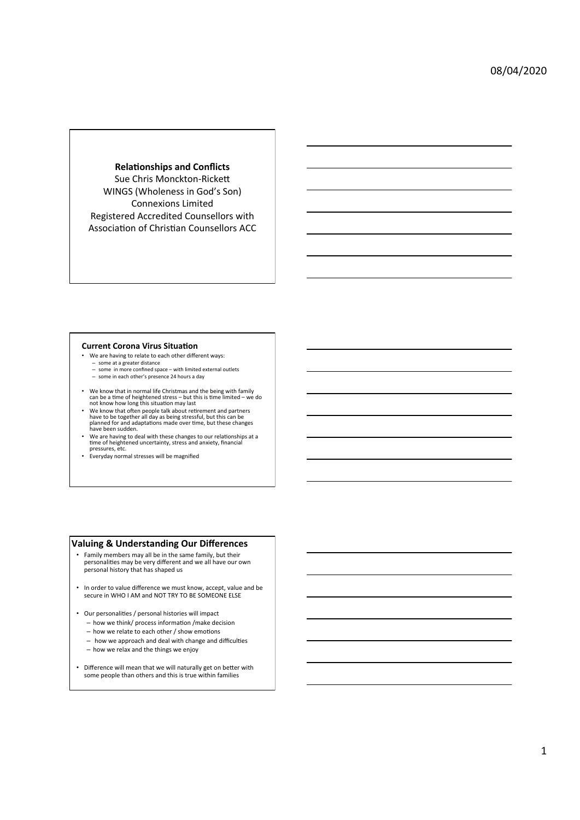**Relationships and Conflicts** Sue Chris Monckton-Rickett WINGS (Wholeness in God's Son) Connexions Limited Registered Accredited Counsellors with Association of Christian Counsellors ACC

#### **Current Corona Virus Situation**

- We are having to relate to each other different ways: – some at a greater distance
- some at a greater abstance<br>
some in more confined space with limited external outlets – some in each other's presence 24 hours a day
- 
- We know that in normal life Christmas and the being with family<br>can be a time of heightened stress but this is time limited we do<br>not know how long this situation may last • We know that often people talk about retirement and partners<br>have to be together all day as being stressful, but this can be<br>planned for and adaptations made over time, but these changes<br>have been sudden.
- We are having to deal with these changes to our relationships at a<br>time of heightened uncertainty, stress and anxiety, financial<br>pressures, etc.
- Everyday normal stresses will be magnified

#### **Valuing & Understanding Our Differences**

- Family members may all be in the same family, but their personalities may be very different and we all have our own personal history that has shaped us
- In order to value difference we must know, accept, value and be secure in WHO I AM and NOT TRY TO BE SOMEONE ELSE
- Our personalities / personal histories will impact
	- $-$  how we think/ process information /make decision
	- $-$  how we relate to each other / show emotions
	- how we approach and deal with change and difficulties
	- how we relax and the things we enjoy
- Difference will mean that we will naturally get on better with some people than others and this is true within families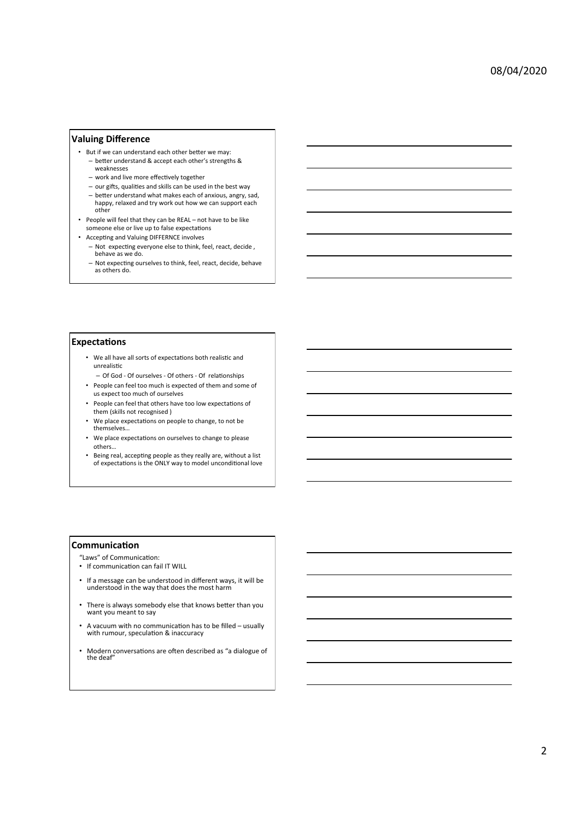# **Valuing Difference**

- But if we can understand each other better we may: - better understand & accept each other's strengths & weaknesses
	- work and live more effectively together
	- $-$  our gifts, qualities and skills can be used in the best way
	- better understand what makes each of anxious, angry, sad,<br>happy, relaxed and try work out how we can support each other
- People will feel that they can be REAL not have to be like someone else or live up to false expectations
- Accepting and Valuing DIFFERNCE involves
	- Not expecting everyone else to think, feel, react, decide, behave as we do.
	- $-$  Not expecting ourselves to think, feel, react, decide, behave as others do.

#### **Expectations**

- We all have all sorts of expectations both realistic and unrealistic
- Of God Of ourselves Of others Of relationships • People can feel too much is expected of them and some of us expect too much of ourselves
- People can feel that others have too low expectations of them (skills not recognised)
- We place expectations on people to change, to not be themselves…
- We place expectations on ourselves to change to please others…
- Being real, accepting people as they really are, without a list of expectations is the ONLY way to model unconditional love

#### **Communication**

"Laws" of Communication:

- If communication can fail IT WILL
- If a message can be understood in different ways, it will be understood in the way that does the most harm
- There is always somebody else that knows better than you<br>want you meant to say
- A vacuum with no communication has to be filled  $-$  usually with rumour, speculation & inaccuracy
- Modern conversations are often described as "a dialogue of the deaf"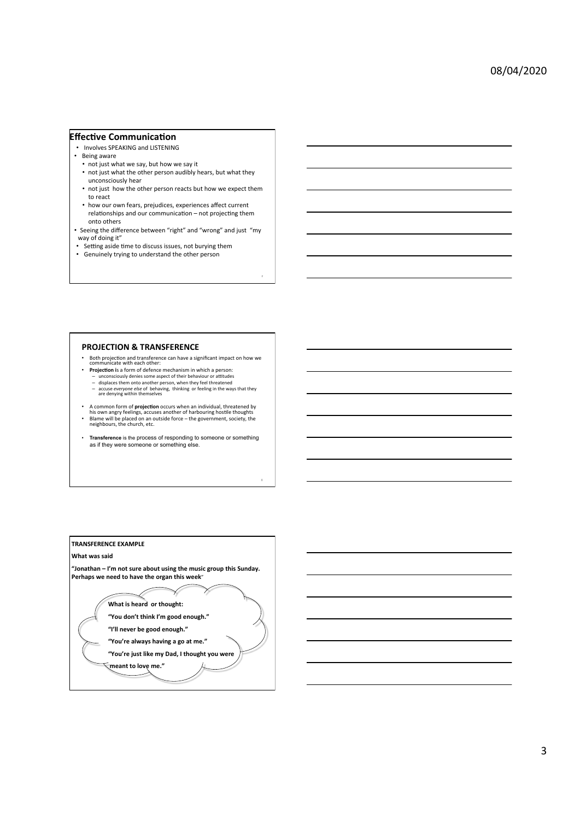# **Effective Communication**

- Involves SPEAKING and LISTENING
- Being aware • not just what we say, but how we say it
	- not just what the other person audibly hears, but what they unconsciously hear
	- not just how the other person reacts but how we expect them to react
- how our own fears, prejudices, experiences affect current relationships and our communication - not projecting them onto others
- Seeing the difference between "right" and "wrong" and just "my way of doing it"
- Setting aside time to discuss issues, not burying them
- Genuinely trying to understand the other person

# **PROJECTION & TRANSFERENCE**

- Both projection and transference can have a significant impact on how we<br>communicate with each other:<br>• **Projection** is a form of defence mechanism in which a person:
	-
	-
	- unconsciously denies some aspect of their behaviour or attitudes<br>- displaces them onto another person, when they feel threatened<br>- accuse everyone else of behaving, thinking or feeling in the ways that they<br>are denying w
- A common form of **projection** occurs when an individual, threatened by<br>his own angry feelings, accuses another of harbouring hostile thoughts<br>**•** Blame will be placed on an outside force the government, society, the<br>ne
- **Transference** is the process of responding to someone or something as if they were someone or something else.

8 

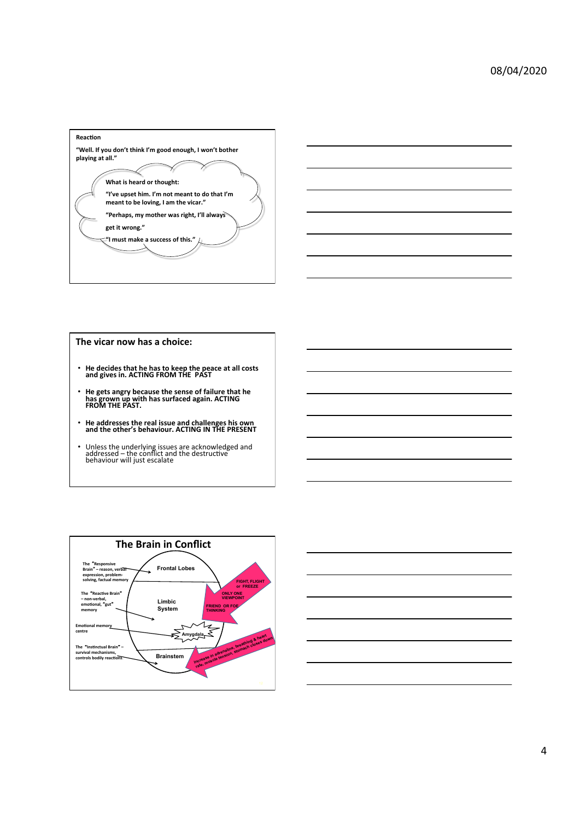



# The vicar now has a choice:

- He decides that he has to keep the peace at all costs and gives in. ACTING FROM THE PAST
- He gets angry because the sense of failure that he<br>has grown up with has surfaced again. ACTING<br>FROM THE PAST.
- He addresses the real issue and challenges his own<br>and the other's behaviour. ACTING IN THE PRESENT
- Unless the underlying issues are acknowledged and<br>addressed the conflict and the destructive<br>behaviour will just escalate



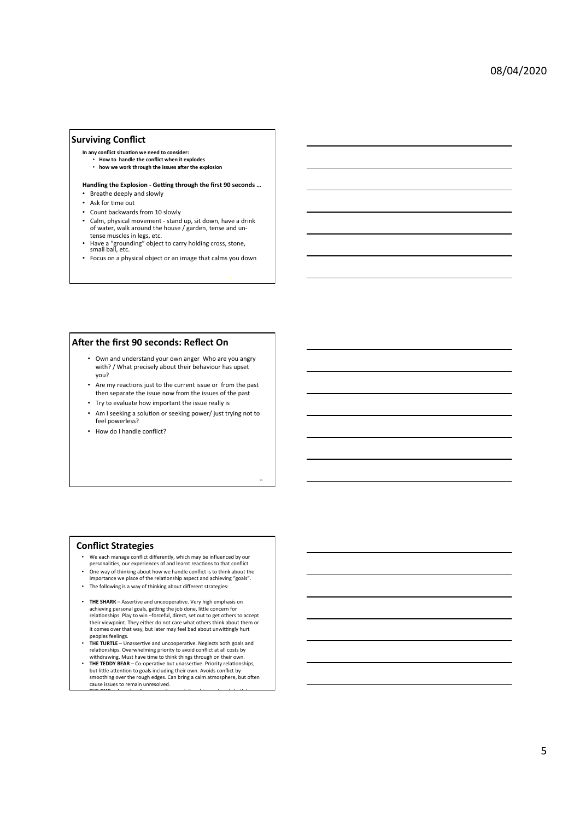# **Surviving Conflict**

- In any conflict situation we need to consider:<br>• **How to handle the conflict when it explodes**
- 
- how we work through the issues after the explosion

#### Handling the Explosion - Getting through the first 90 seconds ...

- Breathe deeply and slowly
- Ask for time out
- Count backwards from 10 slowly
- Calm, physical movement stand up, sit down, have a drink of water, walk around the house / garden, tense and untense muscles in legs, etc.
- Have a "grounding" object to carry holding cross, stone, small ball, etc.
- Focus on a physical object or an image that calms you down

# **After the first 90 seconds: Reflect On**

- Own and understand your own anger Who are you angry with? / What precisely about their behaviour has upset you?
- Are my reactions just to the current issue or from the past then separate the issue now from the issues of the past
- Try to evaluate how important the issue really is
- Am I seeking a solution or seeking power/ just trying not to feel powerless?

14 

• How do I handle conflict?

#### **Conflict Strategies**

- We each manage conflict differently, which may be influenced by our personalities, our experiences of and learnt reactions to that conflict
- One way of thinking about how we handle conflict is to think about the income we place of the relationship aspect and achieving "goals".
- The following is a way of thinking about different strategies:
- **THE SHARK** Assertive and uncooperative. Very high emphasis on achieving personal goals, getting the job done, little concern for<br>relationships. Play to win –forceful, direct, set out to get others to accept their viewpoint. They either do not care what others think about them or it comes over that way, but later may feel bad about unwittingly hurt
- peoples feelings.<br>• THE TURTLE Unassertive and uncooperative. Neglects both goals and relationships. Overwhelming priority to avoid conflict at all costs by<br>withdrawing. Must have time to think things through on their own.
- THE TEDDY BEAR Co-operative but unassertive. Priority relationships, but little attention to goals including their own. Avoids conflict by smoothing over the rough edges. Can bring a calm atmosphere, but often cause issues to remain unresolved. • **THE OWL** – AsserIve & co-operaIve – relaIonships and goals both have a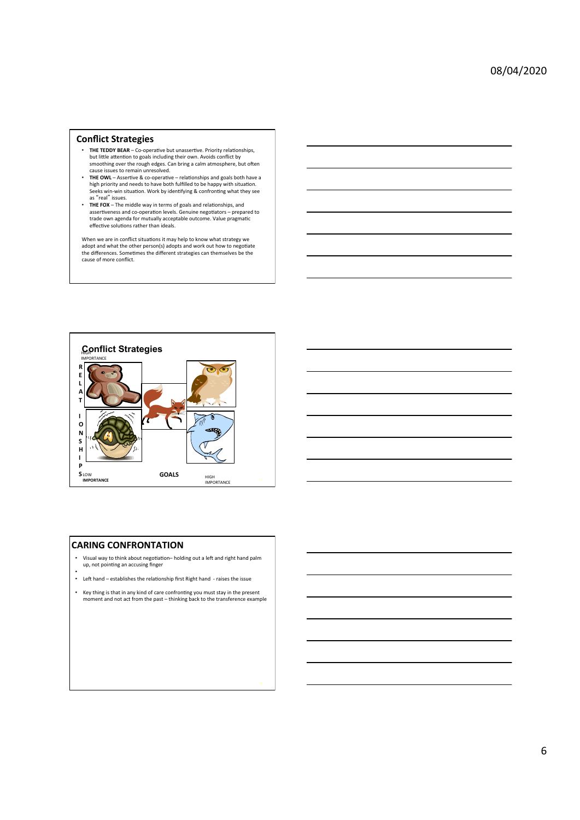#### **Conflict Strategies**

- THE TEDDY BEAR Co-operative but unassertive. Priority relationships, but little attention to goals including their own. Avoids conflict by<br>smoothing over the rough edges. Can bring a calm atmosphere, but often cause issues to remain unresolved.
- **THE OWL** Assertive & co-operative relationships and goals both have a<br>high priority and needs to have both fulfilled to be happy with situation.<br>Seeks win-win situation. Work by identifying & confronting what they s as "real" issues.
- **THE FOX** The middle way in terms of goals and relationships, and assertiveness and co-operation levels. Genuine negotiators – prepared to<br>trade own agenda for mutually acceptable outcome. Value pragmatic effective solutions rather than ideals.

When we are in conflict situations it may help to know what strategy we<br>adopt and what the other person(s) adopts and work out how to negotiate the differences. Sometimes the different strategies can themselves be the cause of more conflict.





#### **CARING CONFRONTATION**

- Visual way to think about negotiation- holding out a left and right hand palm up, not pointing an accusing finger
- •<br>• Left hand establishes the relationship first Right hand raises the issue
- Key thing is that in any kind of care confronting you must stay in the present<br>moment and not act from the past thinking back to the transference example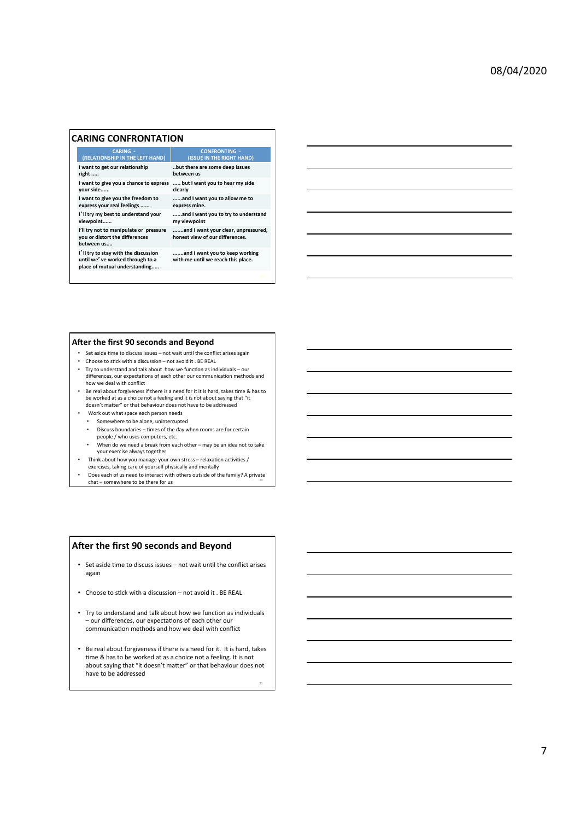## **CARING CONFRONTATION**

# **CARING** -<br>(RELATIONSHIP IN THE LEFT HAND)

**I** want to get our relationship right ...

**I** want to give you a chance to express **your** side

**I** want to give you the freedom to<br>express your real feelings ......

**Ill try my best to understand your**  viewpoint......

**I'll try not to manipulate or pressure you** or distort the differences

between us...

**IU** II try to stay with the discussion<br>until we<sup>*'*</sup> ve worked through to a place of mutual understanding.....

#### **After the first 90 seconds and Beyond**

- Set aside time to discuss issues not wait until the conflict arises again
- Choose to stick with a discussion not avoid it . BE REAL
- Try to understand and talk about how we function as individuals our differences, our expectations of each other our communication methods and<br>how we deal with conflict

**CONFRONTING -**<br>(ISSUE IN THE RIGHT HAND)

..but there are some deep issues

**..** but I want you to hear my side

**......and I want you to allow me to** 

**......and I want you to try to understand** 

**.......and I want your clear, unpressured, honest view of our differences.** 

**.......and I want you to keep working**  with me until we reach this place.

**between** us

express mine.

**my viewpoint** 

m... but..<br>clearly

- Be real about forgiveness if there is a need for it it is hard, takes time & has to be worked at as a choice not a feeling and it is not about saying that "it<br>doesn't matter" or that behaviour does not have to be addressed
- Work out what space each person needs
- Somewhere to be alone, uninterrupted
- Discuss boundaries times of the day when rooms are for certain people / who uses computers, etc.
- When do we need a break from each other may be an idea not to take your exercise always together
- Think about how you manage your own stress relaxation activities /
- exercises, taking care of yourself physically and mentally
- Does each of us need to interact with others outside of the family? A private chat – somewhere to be there for us

#### **After the first 90 seconds and Beyond**

- Set aside time to discuss issues not wait until the conflict arises again
- Choose to stick with a discussion not avoid it . BE REAL
- Try to understand and talk about how we function as individuals – our differences, our expectations of each other our communication methods and how we deal with conflict
- Be real about forgiveness if there is a need for it. It is hard, takes time & has to be worked at as a choice not a feeling. It is not about saying that "it doesn't matter" or that behaviour does not have to be addressed

21